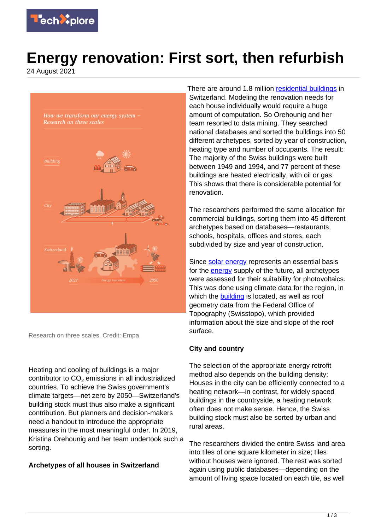

# **Energy renovation: First sort, then refurbish**

24 August 2021



Research on three scales. Credit: Empa

Heating and cooling of buildings is a major contributor to  $\mathsf{CO}_2$  emissions in all industrialized countries. To achieve the Swiss government's climate targets—net zero by 2050—Switzerland's building stock must thus also make a significant contribution. But planners and decision-makers need a handout to introduce the appropriate measures in the most meaningful order. In 2019, Kristina Orehounig and her team undertook such a sorting.

## **Archetypes of all houses in Switzerland**

There are around 1.8 million [residential buildings](https://techxplore.com/tags/residential+buildings/) in Switzerland. Modeling the renovation needs for each house individually would require a huge amount of computation. So Orehounig and her team resorted to data mining. They searched national databases and sorted the buildings into 50 different archetypes, sorted by year of construction, heating type and number of occupants. The result: The majority of the Swiss buildings were built between 1949 and 1994, and 77 percent of these buildings are heated electrically, with oil or gas. This shows that there is considerable potential for renovation.

The researchers performed the same allocation for commercial buildings, sorting them into 45 different archetypes based on databases—restaurants, schools, hospitals, offices and stores, each subdivided by size and year of construction.

Since [solar energy](https://techxplore.com/tags/solar+energy/) represents an essential basis for the [energy](https://techxplore.com/tags/energy/) supply of the future, all archetypes were assessed for their suitability for photovoltaics. This was done using climate data for the region, in which the **building** is located, as well as roof geometry data from the Federal Office of Topography (Swisstopo), which provided information about the size and slope of the roof surface.

#### **City and country**

The selection of the appropriate energy retrofit method also depends on the building density: Houses in the city can be efficiently connected to a heating network—in contrast, for widely spaced buildings in the countryside, a heating network often does not make sense. Hence, the Swiss building stock must also be sorted by urban and rural areas.

The researchers divided the entire Swiss land area into tiles of one square kilometer in size; tiles without houses were ignored. The rest was sorted again using public databases—depending on the amount of living space located on each tile, as well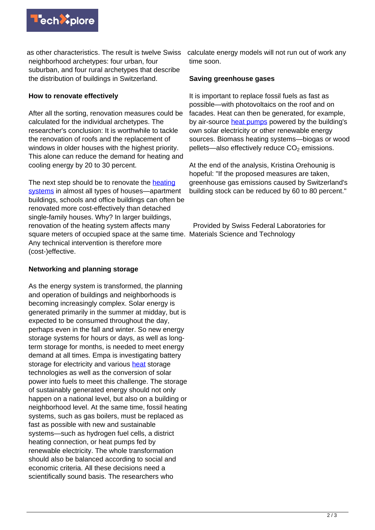

as other characteristics. The result is twelve Swiss neighborhood archetypes: four urban, four suburban, and four rural archetypes that describe the distribution of buildings in Switzerland.

### **How to renovate effectively**

After all the sorting, renovation measures could be calculated for the individual archetypes. The researcher's conclusion: It is worthwhile to tackle the renovation of roofs and the replacement of windows in older houses with the highest priority. This alone can reduce the demand for heating and cooling energy by 20 to 30 percent.

The next step should be to renovate the [heating](https://techxplore.com/tags/heating+systems/) [systems](https://techxplore.com/tags/heating+systems/) in almost all types of houses—apartment buildings, schools and office buildings can often be renovated more cost-effectively than detached single-family houses. Why? In larger buildings, renovation of the heating system affects many square meters of occupied space at the same time. Materials Science and Technology Any technical intervention is therefore more (cost-)effective.

### **Networking and planning storage**

As the energy system is transformed, the planning and operation of buildings and neighborhoods is becoming increasingly complex. Solar energy is generated primarily in the summer at midday, but is expected to be consumed throughout the day, perhaps even in the fall and winter. So new energy storage systems for hours or days, as well as longterm storage for months, is needed to meet energy demand at all times. Empa is investigating battery storage for electricity and various [heat](https://techxplore.com/tags/heat/) storage technologies as well as the conversion of solar power into fuels to meet this challenge. The storage of sustainably generated energy should not only happen on a national level, but also on a building or neighborhood level. At the same time, fossil heating systems, such as gas boilers, must be replaced as fast as possible with new and sustainable systems—such as hydrogen fuel cells, a district heating connection, or heat pumps fed by renewable electricity. The whole transformation should also be balanced according to social and economic criteria. All these decisions need a scientifically sound basis. The researchers who

calculate energy models will not run out of work any time soon.

### **Saving greenhouse gases**

It is important to replace fossil fuels as fast as possible—with photovoltaics on the roof and on facades. Heat can then be generated, for example, by air-source [heat pumps](https://techxplore.com/tags/heat+pumps/) powered by the building's own solar electricity or other renewable energy sources. Biomass heating systems—biogas or wood pellets—also effectively reduce  $CO<sub>2</sub>$  emissions.

At the end of the analysis, Kristina Orehounig is hopeful: "If the proposed measures are taken, greenhouse gas emissions caused by Switzerland's building stock can be reduced by 60 to 80 percent."

Provided by Swiss Federal Laboratories for